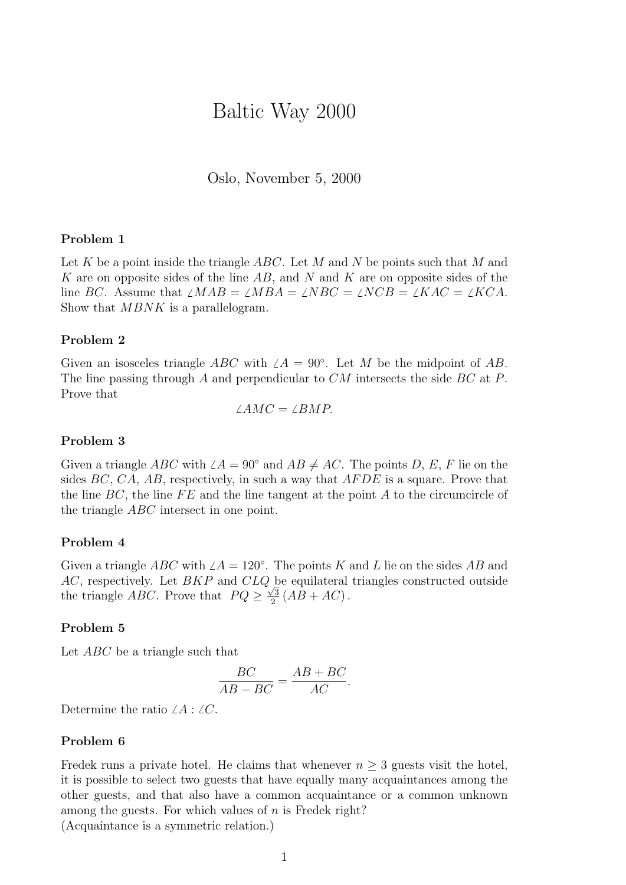# Baltic Way 2000

Oslo, November 5, 2000

## Problem 1

Let K be a point inside the triangle  $ABC$ . Let M and N be points such that M and K are on opposite sides of the line  $AB$ , and N and K are on opposite sides of the line BC. Assume that  $\angle MAB = \angle NBA = \angle NBC = \angle NCB = \angle KAC = \angle KCA$ . Show that *MBNK* is a parallelogram.

# Problem 2

Given an isosceles triangle ABC with  $\angle A = 90^\circ$ . Let M be the midpoint of AB. The line passing through A and perpendicular to CM intersects the side BC at P. Prove that

$$
\angle AMC = \angle BMP.
$$

#### Problem 3

Given a triangle ABC with  $\angle A = 90^\circ$  and  $AB \neq AC$ . The points D, E, F lie on the sides  $BC, CA, AB$ , respectively, in such a way that  $AFDE$  is a square. Prove that the line  $BC$ , the line  $FE$  and the line tangent at the point A to the circumcircle of the triangle ABC intersect in one point.

#### Problem 4

Given a triangle ABC with  $\angle A = 120^\circ$ . The points K and L lie on the sides AB and  $AC$ , respectively. Let  $BKP$  and  $CLQ$  be equilateral triangles constructed outside the triangle *ABC*. Prove that  $PQ \geq \frac{\sqrt{3}}{2}$  $\frac{\sqrt{3}}{2}(AB+AC)$ .

## Problem 5

Let *ABC* be a triangle such that

$$
\frac{BC}{AB - BC} = \frac{AB + BC}{AC}.
$$

Determine the ratio  $\angle A : \angle C$ .

## Problem 6

Fredek runs a private hotel. He claims that whenever  $n \geq 3$  guests visit the hotel, it is possible to select two guests that have equally many acquaintances among the other guests, and that also have a common acquaintance or a common unknown among the guests. For which values of  $n$  is Fredek right?

(Acquaintance is a symmetric relation.)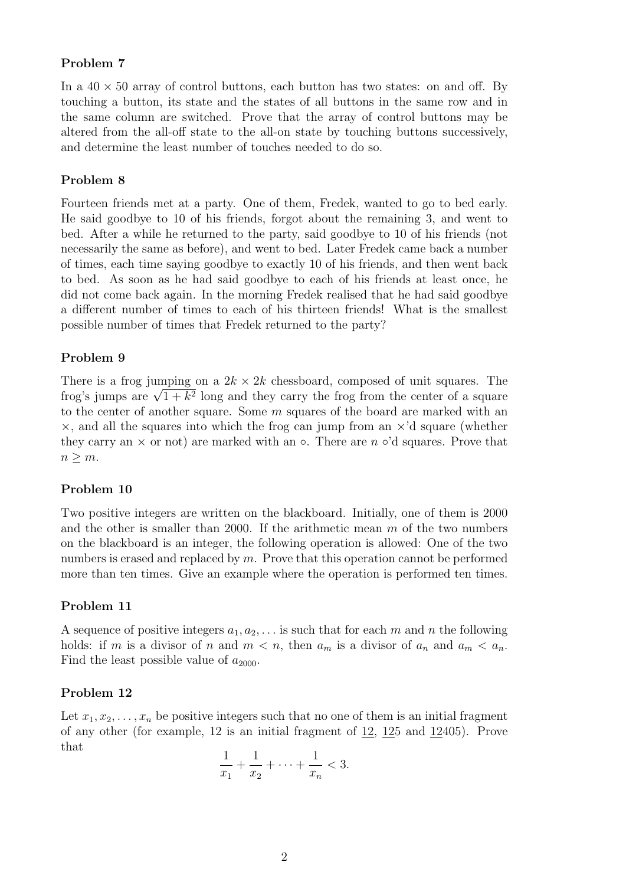# Problem 7

In a  $40 \times 50$  array of control buttons, each button has two states: on and off. By touching a button, its state and the states of all buttons in the same row and in the same column are switched. Prove that the array of control buttons may be altered from the all-off state to the all-on state by touching buttons successively, and determine the least number of touches needed to do so.

# Problem 8

Fourteen friends met at a party. One of them, Fredek, wanted to go to bed early. He said goodbye to 10 of his friends, forgot about the remaining 3, and went to bed. After a while he returned to the party, said goodbye to 10 of his friends (not necessarily the same as before), and went to bed. Later Fredek came back a number of times, each time saying goodbye to exactly 10 of his friends, and then went back to bed. As soon as he had said goodbye to each of his friends at least once, he did not come back again. In the morning Fredek realised that he had said goodbye a different number of times to each of his thirteen friends! What is the smallest possible number of times that Fredek returned to the party?

# Problem 9

There is a frog jumping on a  $2k \times 2k$  chessboard, composed of unit squares. The There is a frog jumping on a  $2k \times 2k$  chessboard, composed of unit squares. The frog's jumps are  $\sqrt{1+k^2}$  long and they carry the frog from the center of a square to the center of another square. Some m squares of the board are marked with an  $\times$ , and all the squares into which the frog can jump from an  $\times$ 'd square (whether they carry an  $\times$  or not) are marked with an  $\circ$ . There are n  $\circ$ 'd squares. Prove that  $n \geq m$ .

# Problem 10

Two positive integers are written on the blackboard. Initially, one of them is 2000 and the other is smaller than 2000. If the arithmetic mean  $m$  of the two numbers on the blackboard is an integer, the following operation is allowed: One of the two numbers is erased and replaced by  $m$ . Prove that this operation cannot be performed more than ten times. Give an example where the operation is performed ten times.

# Problem 11

A sequence of positive integers  $a_1, a_2, \ldots$  is such that for each m and n the following holds: if m is a divisor of n and  $m < n$ , then  $a_m$  is a divisor of  $a_n$  and  $a_m < a_n$ . Find the least possible value of  $a_{2000}$ .

#### Problem 12

Let  $x_1, x_2, \ldots, x_n$  be positive integers such that no one of them is an initial fragment of any other (for example, 12 is an initial fragment of 12, 125 and 12405). Prove that

$$
\frac{1}{x_1} + \frac{1}{x_2} + \dots + \frac{1}{x_n} < 3.
$$